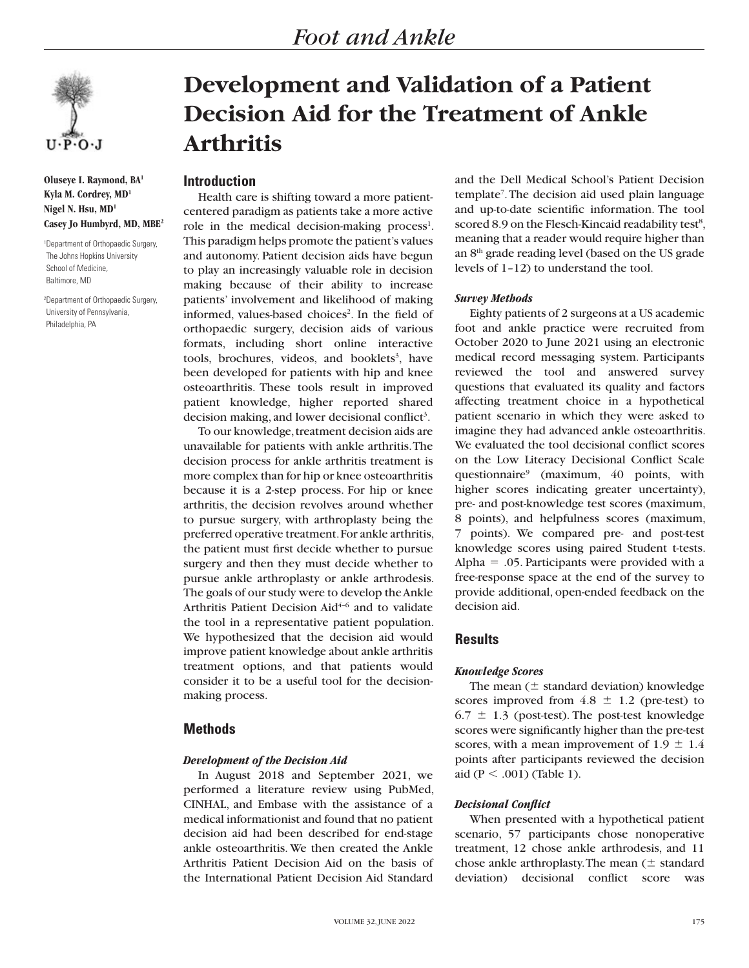

**Oluseye I. Raymond, BA1 Kyla M. Cordrey, MD1 Nigel N. Hsu, MD1 Casey Jo Humbyrd, MD, MBE2**

1 Department of Orthopaedic Surgery, The Johns Hopkins University School of Medicine, Baltimore, MD

2 Department of Orthopaedic Surgery, University of Pennsylvania, Philadelphia, PA

# **Development and Validation of a Patient Decision Aid for the Treatment of Ankle Arthritis**

# **Introduction**

Health care is shifting toward a more patientcentered paradigm as patients take a more active role in the medical decision-making process<sup>1</sup>. This paradigm helps promote the patient's values and autonomy. Patient decision aids have begun to play an increasingly valuable role in decision making because of their ability to increase patients' involvement and likelihood of making informed, values-based choices<sup>2</sup>. In the field of orthopaedic surgery, decision aids of various formats, including short online interactive tools, brochures, videos, and booklets<sup>3</sup>, have been developed for patients with hip and knee osteoarthritis. These tools result in improved patient knowledge, higher reported shared decision making, and lower decisional conflict<sup>3</sup>.

To our knowledge, treatment decision aids are unavailable for patients with ankle arthritis. The decision process for ankle arthritis treatment is more complex than for hip or knee osteoarthritis because it is a 2-step process. For hip or knee arthritis, the decision revolves around whether to pursue surgery, with arthroplasty being the preferred operative treatment. For ankle arthritis, the patient must first decide whether to pursue surgery and then they must decide whether to pursue ankle arthroplasty or ankle arthrodesis. The goals of our study were to develop the Ankle Arthritis Patient Decision Aid<sup>4-6</sup> and to validate the tool in a representative patient population. We hypothesized that the decision aid would improve patient knowledge about ankle arthritis treatment options, and that patients would consider it to be a useful tool for the decisionmaking process.

# **Methods**

## *Development of the Decision Aid*

In August 2018 and September 2021, we performed a literature review using PubMed, CINHAL, and Embase with the assistance of a medical informationist and found that no patient decision aid had been described for end-stage ankle osteoarthritis. We then created the Ankle Arthritis Patient Decision Aid on the basis of the International Patient Decision Aid Standard

and the Dell Medical School's Patient Decision template7 . The decision aid used plain language and up-to-date scientific information. The tool scored 8.9 on the Flesch-Kincaid readability test<sup>8</sup>, meaning that a reader would require higher than an 8th grade reading level (based on the US grade levels of 1–12) to understand the tool.

## *Survey Methods*

Eighty patients of 2 surgeons at a US academic foot and ankle practice were recruited from October 2020 to June 2021 using an electronic medical record messaging system. Participants reviewed the tool and answered survey questions that evaluated its quality and factors affecting treatment choice in a hypothetical patient scenario in which they were asked to imagine they had advanced ankle osteoarthritis. We evaluated the tool decisional conflict scores on the Low Literacy Decisional Conflict Scale questionnaire<sup>9</sup> (maximum, 40 points, with higher scores indicating greater uncertainty), pre- and post-knowledge test scores (maximum, 8 points), and helpfulness scores (maximum, 7 points). We compared pre- and post-test knowledge scores using paired Student t-tests. Alpha =  $.05$ . Participants were provided with a free-response space at the end of the survey to provide additional, open-ended feedback on the decision aid.

# **Results**

## *Knowledge Scores*

The mean  $(\pm$  standard deviation) knowledge scores improved from  $4.8 \pm 1.2$  (pre-test) to  $6.7 \pm 1.3$  (post-test). The post-test knowledge scores were significantly higher than the pre-test scores, with a mean improvement of  $1.9 \pm 1.4$ points after participants reviewed the decision aid ( $P < .001$ ) (Table 1).

## *Decisional Conflict*

When presented with a hypothetical patient scenario, 57 participants chose nonoperative treatment, 12 chose ankle arthrodesis, and 11 chose ankle arthroplasty. The mean  $(\pm$  standard deviation) decisional conflict score was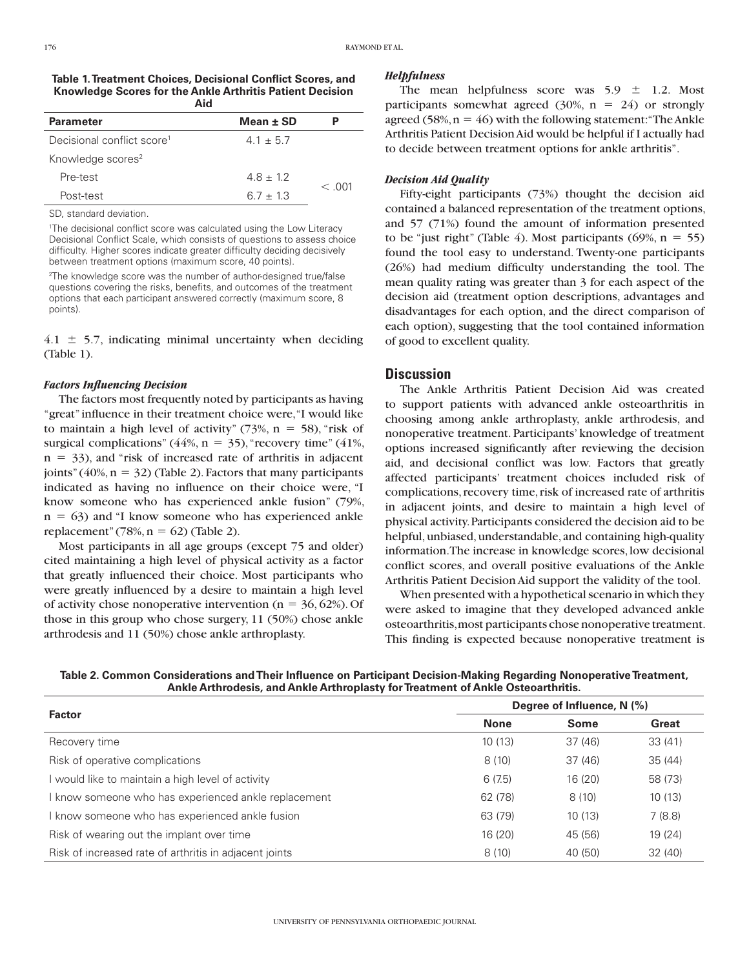| Table 1. Treatment Choices, Decisional Conflict Scores, and |
|-------------------------------------------------------------|
| Knowledge Scores for the Ankle Arthritis Patient Decision   |
| Aid                                                         |

| <b>Parameter</b>                       | Mean $\pm$ SD |        |
|----------------------------------------|---------------|--------|
| Decisional conflict score <sup>1</sup> | $4.1 + 5.7$   |        |
| Knowledge scores <sup>2</sup>          |               |        |
| Pre-test                               | $4.8 + 1.2$   | < 0.01 |
| Post-test                              | $6.7 + 1.3$   |        |

SD, standard deviation.

1 The decisional conflict score was calculated using the Low Literacy Decisional Conflict Scale, which consists of questions to assess choice difficulty. Higher scores indicate greater difficulty deciding decisively between treatment options (maximum score, 40 points).

2 The knowledge score was the number of author-designed true/false questions covering the risks, benefits, and outcomes of the treatment options that each participant answered correctly (maximum score, 8 points).

 $4.1 \pm 5.7$ , indicating minimal uncertainty when deciding (Table 1).

#### *Factors Influencing Decision*

The factors most frequently noted by participants as having "great" influence in their treatment choice were, "I would like to maintain a high level of activity" (73%,  $n = 58$ ), "risk of surgical complications" (44%,  $n = 35$ ), "recovery time" (41%,  $n = 33$ ), and "risk of increased rate of arthritis in adjacent joints" (40%,  $n = 32$ ) (Table 2). Factors that many participants indicated as having no influence on their choice were, "I know someone who has experienced ankle fusion" (79%,  $n = 63$ ) and "I know someone who has experienced ankle replacement" (78%,  $n = 62$ ) (Table 2).

Most participants in all age groups (except 75 and older) cited maintaining a high level of physical activity as a factor that greatly influenced their choice. Most participants who were greatly influenced by a desire to maintain a high level of activity chose nonoperative intervention ( $n = 36, 62\%$ ). Of those in this group who chose surgery, 11 (50%) chose ankle arthrodesis and 11 (50%) chose ankle arthroplasty.

#### *Helpfulness*

The mean helpfulness score was  $5.9 \pm 1.2$ . Most participants somewhat agreed (30%,  $n = 24$ ) or strongly agreed (58%,  $n = 46$ ) with the following statement: "The Ankle Arthritis Patient Decision Aid would be helpful if I actually had to decide between treatment options for ankle arthritis".

#### *Decision Aid Quality*

Fifty-eight participants (73%) thought the decision aid contained a balanced representation of the treatment options, and 57 (71%) found the amount of information presented to be "just right" (Table 4). Most participants (69%,  $n = 55$ ) found the tool easy to understand. Twenty-one participants (26%) had medium difficulty understanding the tool. The mean quality rating was greater than 3 for each aspect of the decision aid (treatment option descriptions, advantages and disadvantages for each option, and the direct comparison of each option), suggesting that the tool contained information of good to excellent quality.

## **Discussion**

The Ankle Arthritis Patient Decision Aid was created to support patients with advanced ankle osteoarthritis in choosing among ankle arthroplasty, ankle arthrodesis, and nonoperative treatment. Participants' knowledge of treatment options increased significantly after reviewing the decision aid, and decisional conflict was low. Factors that greatly affected participants' treatment choices included risk of complications, recovery time, risk of increased rate of arthritis in adjacent joints, and desire to maintain a high level of physical activity. Participants considered the decision aid to be helpful, unbiased, understandable, and containing high-quality information. The increase in knowledge scores, low decisional conflict scores, and overall positive evaluations of the Ankle Arthritis Patient Decision Aid support the validity of the tool.

When presented with a hypothetical scenario in which they were asked to imagine that they developed advanced ankle osteoarthritis, most participants chose nonoperative treatment. This finding is expected because nonoperative treatment is

**Factor Degree of Influence, N (%)**<br> **Rone Some None Some Great** Recovery time 33 (41) 33 (41) 33 (41) Risk of operative complications and the set of the set of the set of the set of the set of the set of the set of the set of the set of the set of the set of the set of the set of the set of the set of the set of the set of I would like to maintain a high level of activity and the state of the state of the state of activity and the state of the state of the state of the state of the state of the state of the state of the state of the state of I know someone who has experienced ankle replacement 62 (78) 8 (10) 10 (13) I know someone who has experienced ankle fusion and the state of the state of the state of (8.8) 10 (13) 10 (13) Risk of wearing out the implant over time 16 (20) 16 (20) 45 (56) 19 (24) Risk of increased rate of arthritis in adjacent joints 8 (10) 40 (50) 32 (40)

**Table 2. Common Considerations and Their Influence on Participant Decision-Making Regarding Nonoperative Treatment, Ankle Arthrodesis, and Ankle Arthroplasty for Treatment of Ankle Osteoarthritis.**